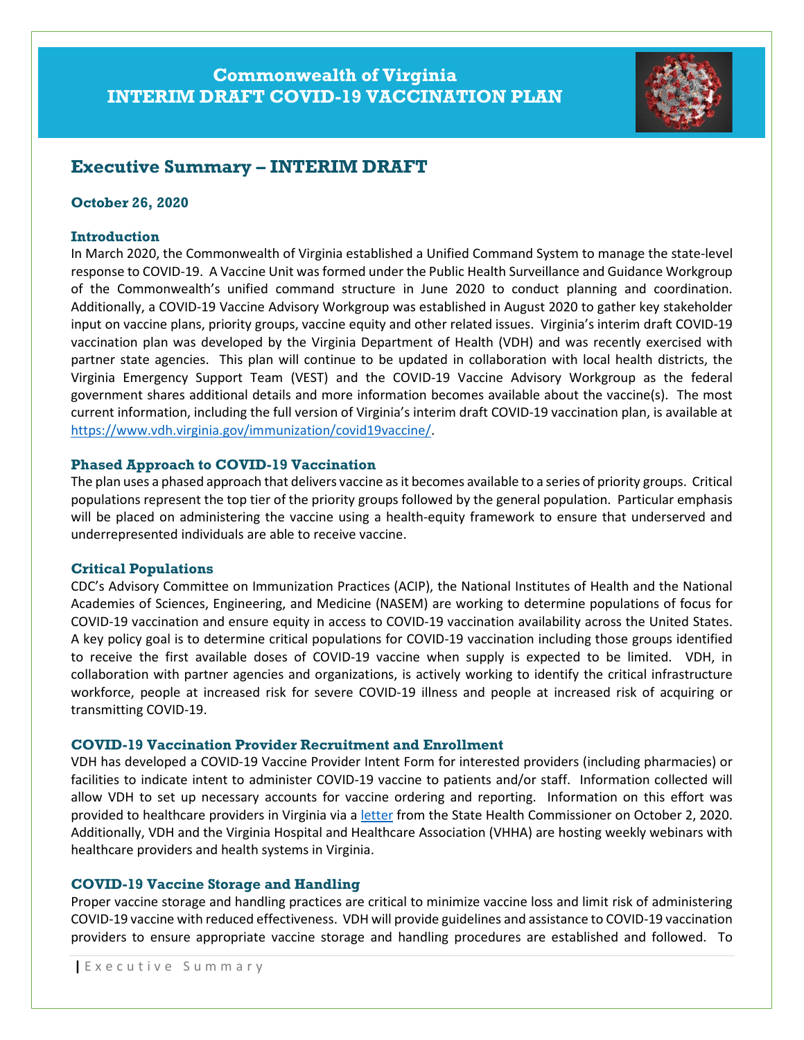# Commonwealth of Virginia INTERIM DRAFT COVID-19 VACCINATION PLAN



# Executive Summary – INTERIM DRAFT

#### October 26, 2020

#### **Introduction**

In March 2020, the Commonwealth of Virginia established a Unified Command System to manage the state-level response to COVID-19. A Vaccine Unit was formed under the Public Health Surveillance and Guidance Workgroup of the Commonwealth's unified command structure in June 2020 to conduct planning and coordination. Additionally, a COVID-19 Vaccine Advisory Workgroup was established in August 2020 to gather key stakeholder input on vaccine plans, priority groups, vaccine equity and other related issues. Virginia's interim draft COVID-19 vaccination plan was developed by the Virginia Department of Health (VDH) and was recently exercised with partner state agencies. This plan will continue to be updated in collaboration with local health districts, the Virginia Emergency Support Team (VEST) and the COVID-19 Vaccine Advisory Workgroup as the federal government shares additional details and more information becomes available about the vaccine(s). The most current information, including the full version of Virginia's interim draft COVID-19 vaccination plan, is available at https://www.vdh.virginia.gov/immunization/covid19vaccine/.

#### Phased Approach to COVID-19 Vaccination

The plan uses a phased approach that delivers vaccine as it becomes available to a series of priority groups. Critical populations represent the top tier of the priority groups followed by the general population. Particular emphasis will be placed on administering the vaccine using a health-equity framework to ensure that underserved and underrepresented individuals are able to receive vaccine.

#### Critical Populations

CDC's Advisory Committee on Immunization Practices (ACIP), the National Institutes of Health and the National Academies of Sciences, Engineering, and Medicine (NASEM) are working to determine populations of focus for COVID-19 vaccination and ensure equity in access to COVID-19 vaccination availability across the United States. A key policy goal is to determine critical populations for COVID-19 vaccination including those groups identified to receive the first available doses of COVID-19 vaccine when supply is expected to be limited. VDH, in collaboration with partner agencies and organizations, is actively working to identify the critical infrastructure workforce, people at increased risk for severe COVID-19 illness and people at increased risk of acquiring or transmitting COVID-19.

#### COVID-19 Vaccination Provider Recruitment and Enrollment

VDH has developed a COVID-19 Vaccine Provider Intent Form for interested providers (including pharmacies) or facilities to indicate intent to administer COVID-19 vaccine to patients and/or staff. Information collected will allow VDH to set up necessary accounts for vaccine ordering and reporting. Information on this effort was provided to healthcare providers in Virginia via a letter from the State Health Commissioner on October 2, 2020. Additionally, VDH and the Virginia Hospital and Healthcare Association (VHHA) are hosting weekly webinars with healthcare providers and health systems in Virginia.

#### COVID-19 Vaccine Storage and Handling

Proper vaccine storage and handling practices are critical to minimize vaccine loss and limit risk of administering COVID-19 vaccine with reduced effectiveness. VDH will provide guidelines and assistance to COVID-19 vaccination providers to ensure appropriate vaccine storage and handling procedures are established and followed. To